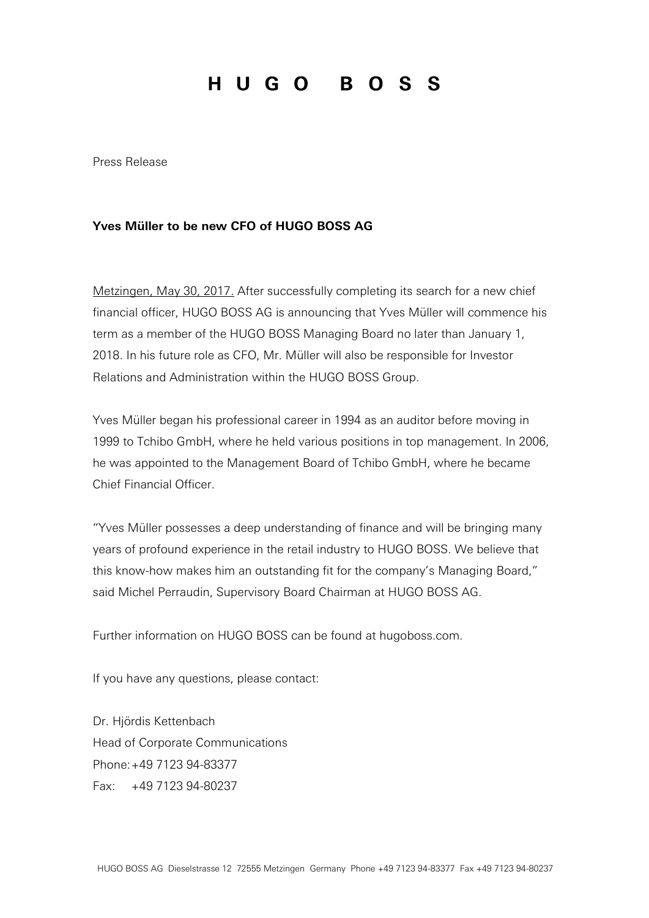## HUGO BOSS

Press Release

## **Yves Müller to be new CFO of HUGO BOSS AG**

Metzingen, May 30, 2017. After successfully completing its search for a new chief financial officer, HUGO BOSS AG is announcing that Yves Müller will commence his term as a member of the HUGO BOSS Managing Board no later than January 1, 2018. In his future role as CFO, Mr. Müller will also be responsible for Investor Relations and Administration within the HUGO BOSS Group.

Yves Müller began his professional career in 1994 as an auditor before moving in 1999 to Tchibo GmbH, where he held various positions in top management. In 2006, he was appointed to the Management Board of Tchibo GmbH, where he became Chief Financial Officer.

"Yves Müller possesses a deep understanding of finance and will be bringing many years of profound experience in the retail industry to HUGO BOSS. We believe that this know-how makes him an outstanding fit for the company's Managing Board," said Michel Perraudin, Supervisory Board Chairman at HUGO BOSS AG.

Further information on HUGO BOSS can be found at hugoboss.com.

If you have any questions, please contact:

Dr. Hjördis Kettenbach Head of Corporate Communications Phone:+49 7123 94-83377 Fax: +49 7123 94-80237